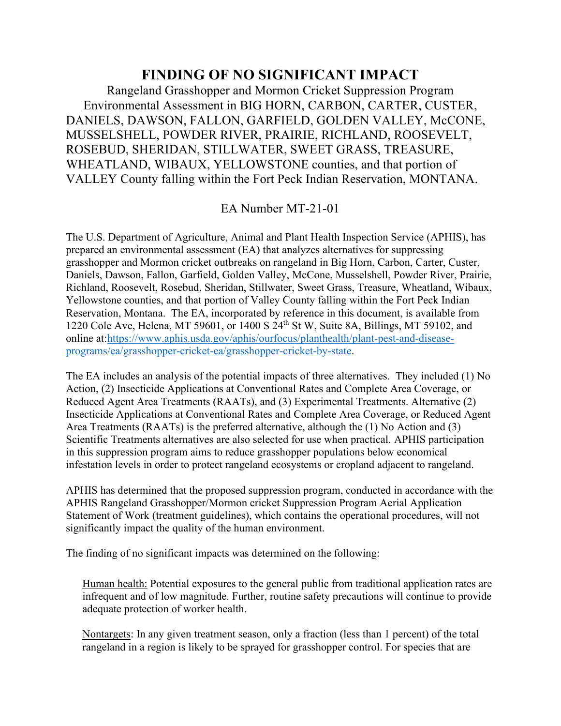## **FINDING OF NO SIGNIFICANT IMPACT**

Rangeland Grasshopper and Mormon Cricket Suppression Program Environmental Assessment in BIG HORN, CARBON, CARTER, CUSTER, DANIELS, DAWSON, FALLON, GARFIELD, GOLDEN VALLEY, McCONE, MUSSELSHELL, POWDER RIVER, PRAIRIE, RICHLAND, ROOSEVELT, ROSEBUD, SHERIDAN, STILLWATER, SWEET GRASS, TREASURE, WHEATLAND, WIBAUX, YELLOWSTONE counties, and that portion of VALLEY County falling within the Fort Peck Indian Reservation, MONTANA.

EA Number MT-21-01

The U.S. Department of Agriculture, Animal and Plant Health Inspection Service (APHIS), has prepared an environmental assessment (EA) that analyzes alternatives for suppressing grasshopper and Mormon cricket outbreaks on rangeland in Big Horn, Carbon, Carter, Custer, Daniels, Dawson, Fallon, Garfield, Golden Valley, McCone, Musselshell, Powder River, Prairie, Richland, Roosevelt, Rosebud, Sheridan, Stillwater, Sweet Grass, Treasure, Wheatland, Wibaux, Yellowstone counties, and that portion of Valley County falling within the Fort Peck Indian Reservation, Montana. The EA, incorporated by reference in this document, is available from 1220 Cole Ave, Helena, MT 59601, or 1400 S 24th St W, Suite 8A, Billings, MT 59102, and online at[:https://www.aphis.usda.gov/aphis/ourfocus/planthealth/plant-pest-and-disease](https://www.aphis.usda.gov/aphis/ourfocus/planthealth/plant-pest-and-disease-programs/ea/grasshopper-cricket-ea/grasshopper-cricket-by-state)[programs/ea/grasshopper-cricket-ea/grasshopper-cricket-by-state.](https://www.aphis.usda.gov/aphis/ourfocus/planthealth/plant-pest-and-disease-programs/ea/grasshopper-cricket-ea/grasshopper-cricket-by-state)

The EA includes an analysis of the potential impacts of three alternatives. They included (1) No Action, (2) Insecticide Applications at Conventional Rates and Complete Area Coverage, or Reduced Agent Area Treatments (RAATs), and (3) Experimental Treatments. Alternative (2) Insecticide Applications at Conventional Rates and Complete Area Coverage, or Reduced Agent Area Treatments (RAATs) is the preferred alternative, although the (1) No Action and (3) Scientific Treatments alternatives are also selected for use when practical. APHIS participation in this suppression program aims to reduce grasshopper populations below economical infestation levels in order to protect rangeland ecosystems or cropland adjacent to rangeland.

APHIS has determined that the proposed suppression program, conducted in accordance with the APHIS Rangeland Grasshopper/Mormon cricket Suppression Program Aerial Application Statement of Work (treatment guidelines), which contains the operational procedures, will not significantly impact the quality of the human environment.

The finding of no significant impacts was determined on the following:

Human health: Potential exposures to the general public from traditional application rates are infrequent and of low magnitude. Further, routine safety precautions will continue to provide adequate protection of worker health.

Nontargets: In any given treatment season, only a fraction (less than 1 percent) of the total rangeland in a region is likely to be sprayed for grasshopper control. For species that are